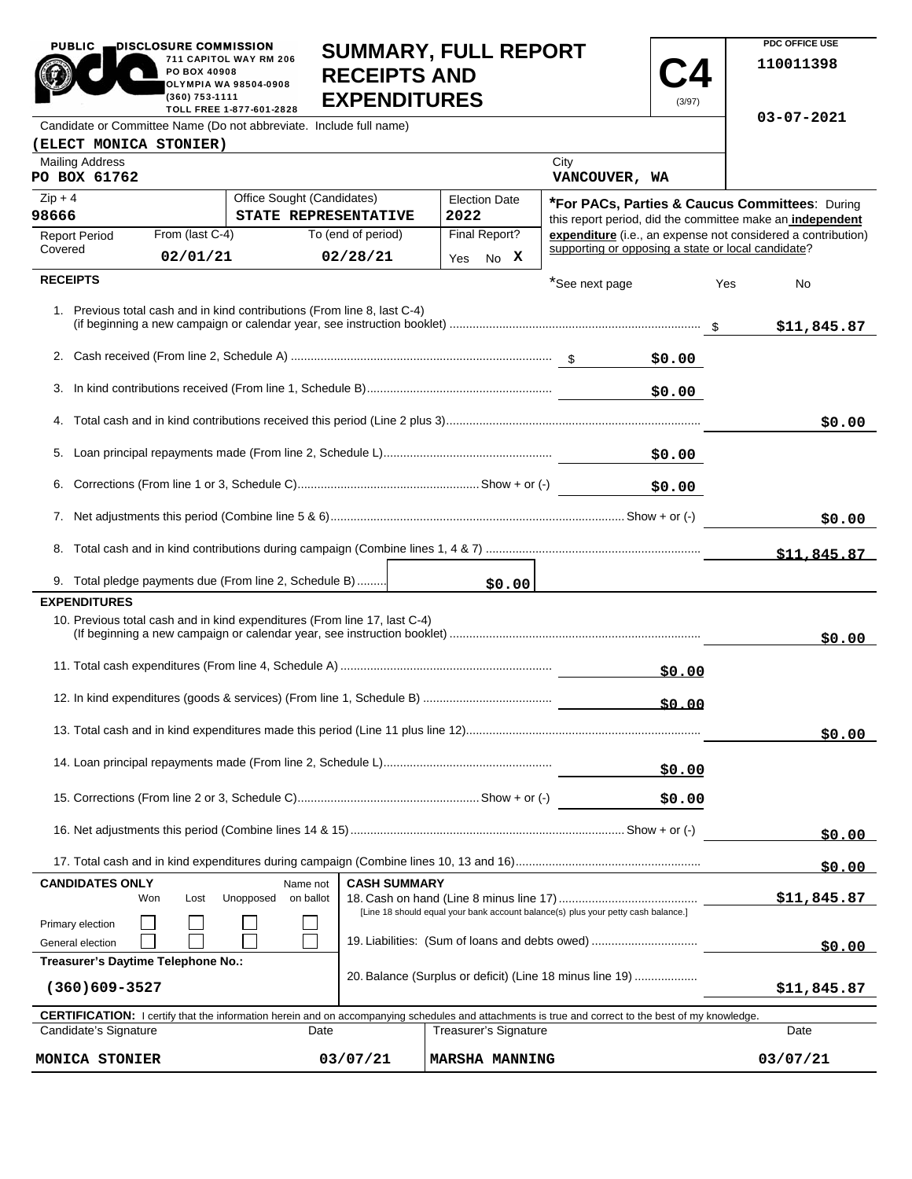| <b>PUBLIC</b>                                                                                                                                  | DISCLOSURE COMMISSION                                                                                                                                                               |                                                                           |                                                                                                                                     |                                                          |          |                |                                                    |                                                           | PDC OFFICE USE                                               |
|------------------------------------------------------------------------------------------------------------------------------------------------|-------------------------------------------------------------------------------------------------------------------------------------------------------------------------------------|---------------------------------------------------------------------------|-------------------------------------------------------------------------------------------------------------------------------------|----------------------------------------------------------|----------|----------------|----------------------------------------------------|-----------------------------------------------------------|--------------------------------------------------------------|
| <b>SUMMARY, FULL REPORT</b><br>711 CAPITOL WAY RM 206<br><b>RECEIPTS AND</b><br>PO BOX 40908<br><b>OLYMPIA WA 98504-0908</b><br>(360) 753-1111 |                                                                                                                                                                                     |                                                                           |                                                                                                                                     |                                                          |          |                | 110011398                                          |                                                           |                                                              |
| <b>EXPENDITURES</b><br>(3/97)<br>TOLL FREE 1-877-601-2828<br>Candidate or Committee Name (Do not abbreviate. Include full name)                |                                                                                                                                                                                     |                                                                           |                                                                                                                                     |                                                          |          |                |                                                    | 03-07-2021                                                |                                                              |
| (ELECT MONICA STONIER)                                                                                                                         |                                                                                                                                                                                     |                                                                           |                                                                                                                                     |                                                          |          |                |                                                    |                                                           |                                                              |
| <b>Mailing Address</b>                                                                                                                         |                                                                                                                                                                                     |                                                                           |                                                                                                                                     |                                                          |          | City           |                                                    |                                                           |                                                              |
| PO BOX 61762                                                                                                                                   |                                                                                                                                                                                     |                                                                           |                                                                                                                                     |                                                          |          | VANCOUVER, WA  |                                                    |                                                           |                                                              |
| Office Sought (Candidates)<br>$Zip + 4$                                                                                                        |                                                                                                                                                                                     |                                                                           | <b>Election Date</b>                                                                                                                |                                                          |          |                |                                                    |                                                           | <b>*For PACs, Parties &amp; Caucus Committees: During *</b>  |
| 98666<br>STATE REPRESENTATIVE                                                                                                                  |                                                                                                                                                                                     | 2022<br>Final Report?                                                     |                                                                                                                                     |                                                          |          |                |                                                    | this report period, did the committee make an independent |                                                              |
| <b>Report Period</b><br>Covered                                                                                                                | From (last C-4)                                                                                                                                                                     |                                                                           | To (end of period)                                                                                                                  |                                                          |          |                | supporting or opposing a state or local candidate? |                                                           | expenditure (i.e., an expense not considered a contribution) |
|                                                                                                                                                | 02/01/21                                                                                                                                                                            |                                                                           | 02/28/21                                                                                                                            |                                                          | Yes No X |                |                                                    |                                                           |                                                              |
| <b>RECEIPTS</b>                                                                                                                                |                                                                                                                                                                                     |                                                                           |                                                                                                                                     |                                                          |          | *See next page |                                                    | Yes                                                       | No                                                           |
|                                                                                                                                                |                                                                                                                                                                                     | 1. Previous total cash and in kind contributions (From line 8, last C-4)  |                                                                                                                                     |                                                          |          |                |                                                    |                                                           | \$11,845.87                                                  |
|                                                                                                                                                |                                                                                                                                                                                     |                                                                           |                                                                                                                                     |                                                          |          |                | \$0.00                                             |                                                           |                                                              |
| 3.                                                                                                                                             |                                                                                                                                                                                     |                                                                           |                                                                                                                                     |                                                          |          |                | \$0.00                                             |                                                           |                                                              |
|                                                                                                                                                |                                                                                                                                                                                     |                                                                           |                                                                                                                                     |                                                          |          |                |                                                    |                                                           | \$0.00                                                       |
|                                                                                                                                                |                                                                                                                                                                                     |                                                                           |                                                                                                                                     |                                                          |          |                | \$0.00                                             |                                                           |                                                              |
|                                                                                                                                                | \$0.00                                                                                                                                                                              |                                                                           |                                                                                                                                     |                                                          |          |                |                                                    |                                                           |                                                              |
|                                                                                                                                                |                                                                                                                                                                                     |                                                                           |                                                                                                                                     |                                                          |          |                |                                                    |                                                           | \$0.00                                                       |
|                                                                                                                                                |                                                                                                                                                                                     |                                                                           |                                                                                                                                     |                                                          |          |                |                                                    |                                                           | \$11,845.87                                                  |
|                                                                                                                                                |                                                                                                                                                                                     | 9. Total pledge payments due (From line 2, Schedule B)                    |                                                                                                                                     |                                                          | \$0.00   |                |                                                    |                                                           |                                                              |
| <b>EXPENDITURES</b>                                                                                                                            |                                                                                                                                                                                     |                                                                           |                                                                                                                                     |                                                          |          |                |                                                    |                                                           |                                                              |
|                                                                                                                                                |                                                                                                                                                                                     | 10. Previous total cash and in kind expenditures (From line 17, last C-4) |                                                                                                                                     |                                                          |          |                |                                                    |                                                           | \$0.00                                                       |
|                                                                                                                                                |                                                                                                                                                                                     |                                                                           |                                                                                                                                     |                                                          |          |                | \$0.00                                             |                                                           |                                                              |
|                                                                                                                                                |                                                                                                                                                                                     |                                                                           |                                                                                                                                     |                                                          |          |                | \$0.00                                             |                                                           |                                                              |
|                                                                                                                                                |                                                                                                                                                                                     |                                                                           |                                                                                                                                     |                                                          |          |                |                                                    |                                                           | \$0.00                                                       |
| \$0.00                                                                                                                                         |                                                                                                                                                                                     |                                                                           |                                                                                                                                     |                                                          |          |                |                                                    |                                                           |                                                              |
|                                                                                                                                                |                                                                                                                                                                                     |                                                                           |                                                                                                                                     |                                                          |          |                |                                                    | \$0.00                                                    |                                                              |
|                                                                                                                                                |                                                                                                                                                                                     |                                                                           |                                                                                                                                     |                                                          |          |                | \$0.00                                             |                                                           |                                                              |
|                                                                                                                                                |                                                                                                                                                                                     |                                                                           |                                                                                                                                     |                                                          |          |                |                                                    |                                                           | \$0.00                                                       |
| <b>CASH SUMMARY</b><br><b>CANDIDATES ONLY</b><br>Name not<br>Unopposed<br>Won<br>Lost<br>on ballot                                             |                                                                                                                                                                                     |                                                                           |                                                                                                                                     |                                                          |          |                | \$11,845.87                                        |                                                           |                                                              |
| Primary election<br>General election                                                                                                           |                                                                                                                                                                                     |                                                                           | [Line 18 should equal your bank account balance(s) plus your petty cash balance.]<br>19. Liabilities: (Sum of loans and debts owed) |                                                          |          |                |                                                    |                                                           | \$0.00                                                       |
| Treasurer's Daytime Telephone No.:                                                                                                             |                                                                                                                                                                                     |                                                                           |                                                                                                                                     |                                                          |          |                |                                                    |                                                           |                                                              |
| $(360)609 - 3527$                                                                                                                              |                                                                                                                                                                                     |                                                                           |                                                                                                                                     | 20. Balance (Surplus or deficit) (Line 18 minus line 19) |          |                |                                                    |                                                           | \$11,845.87                                                  |
| Candidate's Signature                                                                                                                          | <b>CERTIFICATION:</b> I certify that the information herein and on accompanying schedules and attachments is true and correct to the best of my knowledge.<br>Treasurer's Signature |                                                                           |                                                                                                                                     |                                                          |          | Date           |                                                    |                                                           |                                                              |
| <b>MONICA STONIER</b>                                                                                                                          | 03/07/21                                                                                                                                                                            | <b>MARSHA MANNING</b>                                                     |                                                                                                                                     |                                                          |          |                | 03/07/21                                           |                                                           |                                                              |

**PDC OFFICE USE**